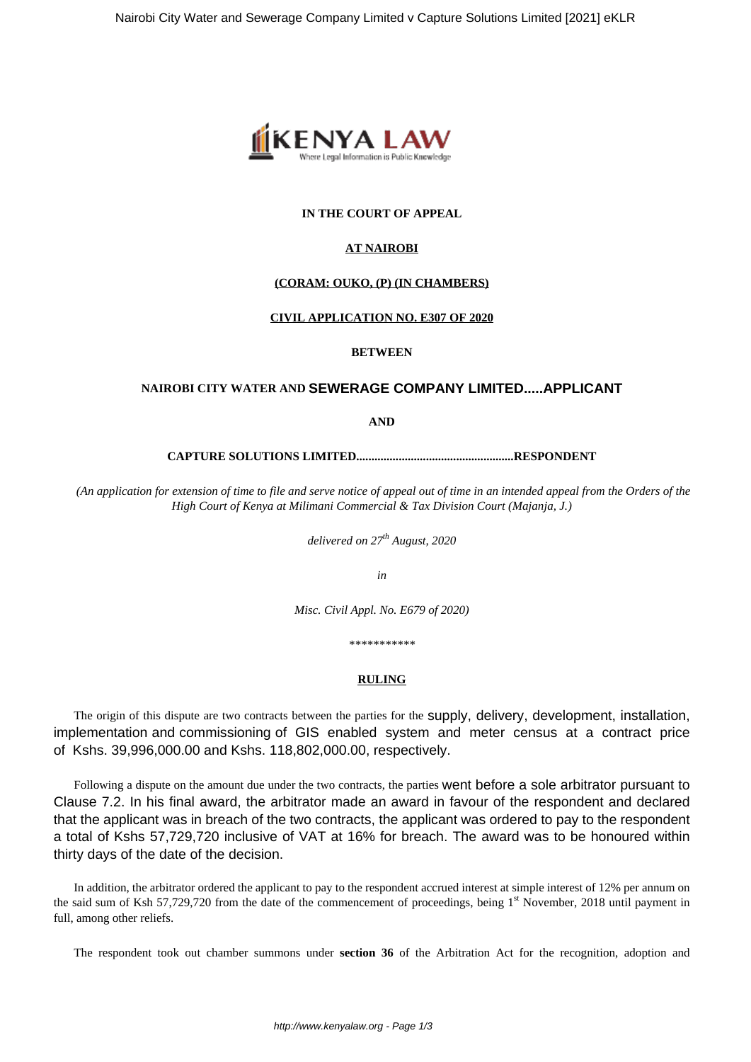

# **IN THE COURT OF APPEAL**

## **AT NAIROBI**

### **(CORAM: OUKO, (P) (IN CHAMBERS)**

### **CIVIL APPLICATION NO. E307 OF 2020**

### **BETWEEN**

## **NAIROBI CITY WATER AND SEWERAGE COMPANY LIMITED.....APPLICANT**

**AND**

**CAPTURE SOLUTIONS LIMITED....................................................RESPONDENT**

*(An application for extension of time to file and serve notice of appeal out of time in an intended appeal from the Orders of the High Court of Kenya at Milimani Commercial & Tax Division Court (Majanja, J.)*

*delivered on 27th August, 2020*

*in*

*Misc. Civil Appl. No. E679 of 2020)*

*\*\*\*\*\*\*\*\*\*\*\**

# **RULING**

The origin of this dispute are two contracts between the parties for the supply, delivery, development, installation, implementation and commissioning of GIS enabled system and meter census at a contract price of Kshs. 39,996,000.00 and Kshs. 118,802,000.00, respectively.

Following a dispute on the amount due under the two contracts, the parties went before a sole arbitrator pursuant to Clause 7.2. In his final award, the arbitrator made an award in favour of the respondent and declared that the applicant was in breach of the two contracts, the applicant was ordered to pay to the respondent a total of Kshs 57,729,720 inclusive of VAT at 16% for breach. The award was to be honoured within thirty days of the date of the decision.

In addition, the arbitrator ordered the applicant to pay to the respondent accrued interest at simple interest of 12% per annum on the said sum of Ksh 57,729,720 from the date of the commencement of proceedings, being 1<sup>st</sup> November, 2018 until payment in full, among other reliefs.

The respondent took out chamber summons under **section 36** of the Arbitration Act for the recognition, adoption and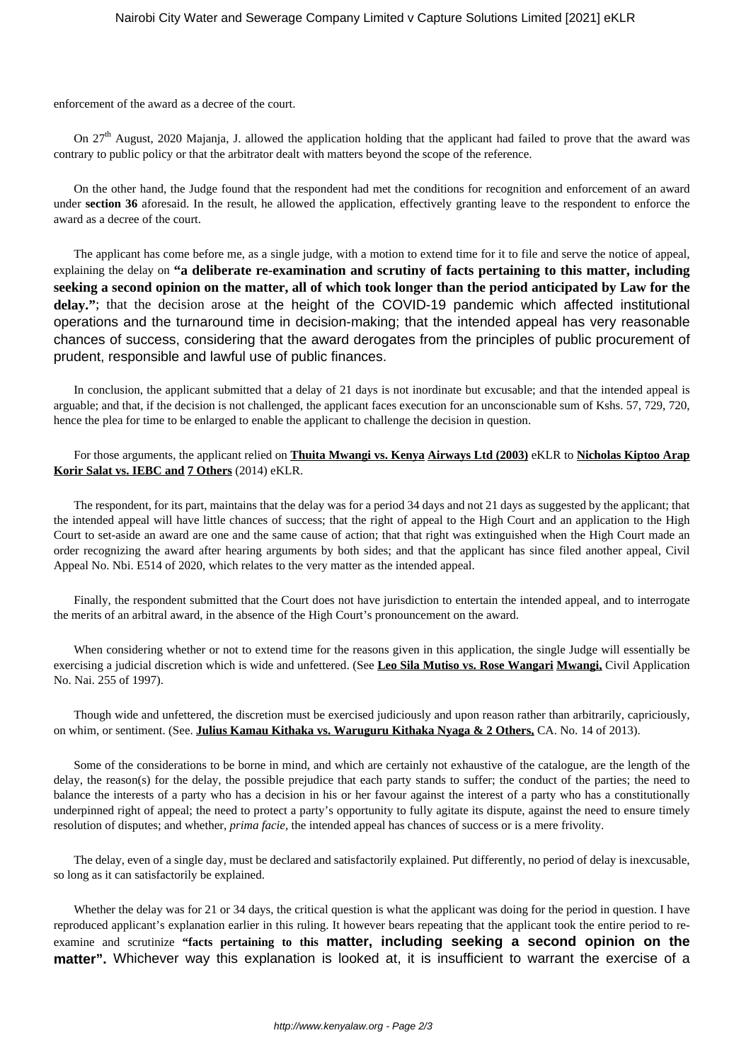enforcement of the award as a decree of the court.

On  $27<sup>th</sup>$  August, 2020 Majanja, J. allowed the application holding that the applicant had failed to prove that the award was contrary to public policy or that the arbitrator dealt with matters beyond the scope of the reference.

On the other hand, the Judge found that the respondent had met the conditions for recognition and enforcement of an award under **section 36** aforesaid. In the result, he allowed the application, effectively granting leave to the respondent to enforce the award as a decree of the court.

The applicant has come before me, as a single judge, with a motion to extend time for it to file and serve the notice of appeal, explaining the delay on **"a deliberate re-examination and scrutiny of facts pertaining to this matter, including seeking a second opinion on the matter, all of which took longer than the period anticipated by Law for the delay."**; that the decision arose at the height of the COVID-19 pandemic which affected institutional operations and the turnaround time in decision-making; that the intended appeal has very reasonable chances of success, considering that the award derogates from the principles of public procurement of prudent, responsible and lawful use of public finances.

In conclusion, the applicant submitted that a delay of 21 days is not inordinate but excusable; and that the intended appeal is arguable; and that, if the decision is not challenged, the applicant faces execution for an unconscionable sum of Kshs. 57, 729, 720, hence the plea for time to be enlarged to enable the applicant to challenge the decision in question.

### For those arguments, the applicant relied on **Thuita Mwangi vs. Kenya Airways Ltd (2003)** eKLR to **Nicholas Kiptoo Arap Korir Salat vs. IEBC and 7 Others** (2014) eKLR.

The respondent, for its part, maintains that the delay was for a period 34 days and not 21 days as suggested by the applicant; that the intended appeal will have little chances of success; that the right of appeal to the High Court and an application to the High Court to set-aside an award are one and the same cause of action; that that right was extinguished when the High Court made an order recognizing the award after hearing arguments by both sides; and that the applicant has since filed another appeal, Civil Appeal No. Nbi. E514 of 2020, which relates to the very matter as the intended appeal.

Finally, the respondent submitted that the Court does not have jurisdiction to entertain the intended appeal, and to interrogate the merits of an arbitral award, in the absence of the High Court's pronouncement on the award.

When considering whether or not to extend time for the reasons given in this application, the single Judge will essentially be exercising a judicial discretion which is wide and unfettered. (See **Leo Sila Mutiso vs. Rose Wangari Mwangi,** Civil Application No. Nai. 255 of 1997).

Though wide and unfettered, the discretion must be exercised judiciously and upon reason rather than arbitrarily, capriciously, on whim, or sentiment. (See. **Julius Kamau Kithaka vs. Waruguru Kithaka Nyaga & 2 Others,** CA. No. 14 of 2013).

Some of the considerations to be borne in mind, and which are certainly not exhaustive of the catalogue, are the length of the delay, the reason(s) for the delay, the possible prejudice that each party stands to suffer; the conduct of the parties; the need to balance the interests of a party who has a decision in his or her favour against the interest of a party who has a constitutionally underpinned right of appeal; the need to protect a party's opportunity to fully agitate its dispute, against the need to ensure timely resolution of disputes; and whether, *prima facie*, the intended appeal has chances of success or is a mere frivolity.

The delay, even of a single day, must be declared and satisfactorily explained. Put differently, no period of delay is inexcusable, so long as it can satisfactorily be explained.

Whether the delay was for 21 or 34 days, the critical question is what the applicant was doing for the period in question. I have reproduced applicant's explanation earlier in this ruling. It however bears repeating that the applicant took the entire period to reexamine and scrutinize **"facts pertaining to this matter, including seeking a second opinion on the matter".** Whichever way this explanation is looked at, it is insufficient to warrant the exercise of a